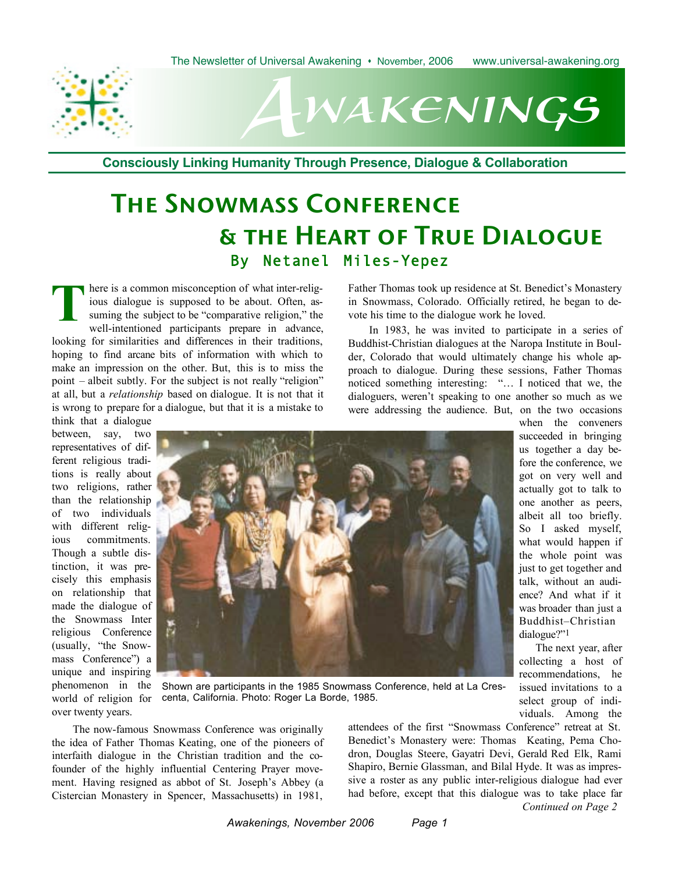

# wakenings  $A^p$

**Consciously Linking Humanity Through Presence, Dialogue & Collaboration**

# The Snowmass Conference & the Heart of True Dialogue By Netanel Miles-Yepez

There is a common misconception of what inter-relig-<br>ious dialogue is supposed to be about. Often, as-<br>suming the subject to be "comparative religion," the<br>well-intentioned participants prepare in advance ious dialogue is supposed to be about. Often, assuming the subject to be "comparative religion," the well-intentioned participants prepare in advance, looking for similarities and differences in their traditions, hoping to find arcane bits of information with which to make an impression on the other. But, this is to miss the point – albeit subtly. For the subject is not really "religion" at all, but a *relationship* based on dialogue. It is not that it is wrong to prepare for a dialogue, but that it is a mistake to

think that a dialogue between, say, two representatives of different religious traditions is really about two religions, rather than the relationship of two individuals with different religious commitments. Though a subtle distinction, it was precisely this emphasis on relationship that made the dialogue of the Snowmass Inter religious Conference (usually, "the Snowmass Conference") a unique and inspiring phenomenon in the world of religion for over twenty years.



Father Thomas took up residence at St. Benedict's Monastery in Snowmass, Colorado. Officially retired, he began to devote his time to the dialogue work he loved.

In 1983, he was invited to participate in a series of Buddhist-Christian dialogues at the Naropa Institute in Boulder, Colorado that would ultimately change his whole approach to dialogue. During these sessions, Father Thomas noticed something interesting: "… I noticed that we, the dialoguers, weren't speaking to one another so much as we were addressing the audience. But, on the two occasions

when the conveners succeeded in bringing us together a day before the conference, we got on very well and actually got to talk to one another as peers, albeit all too briefly. So I asked myself, what would happen if the whole point was just to get together and talk, without an audience? And what if it was broader than just a Buddhist–Christian dialogue?"1

The next year, after collecting a host of recommendations, he issued invitations to a select group of individuals. Among the

Shown are participants in the 1985 Snowmass Conference, held at La Crescenta, California. Photo: Roger La Borde, 1985.

The now-famous Snowmass Conference was originally the idea of Father Thomas Keating, one of the pioneers of interfaith dialogue in the Christian tradition and the cofounder of the highly influential Centering Prayer movement. Having resigned as abbot of St. Joseph's Abbey (a Cistercian Monastery in Spencer, Massachusetts) in 1981,

*Continued on Page 2* attendees of the first "Snowmass Conference" retreat at St. Benedict's Monastery were: Thomas Keating, Pema Chodron, Douglas Steere, Gayatri Devi, Gerald Red Elk, Rami Shapiro, Bernie Glassman, and Bilal Hyde. It was as impressive a roster as any public inter-religious dialogue had ever had before, except that this dialogue was to take place far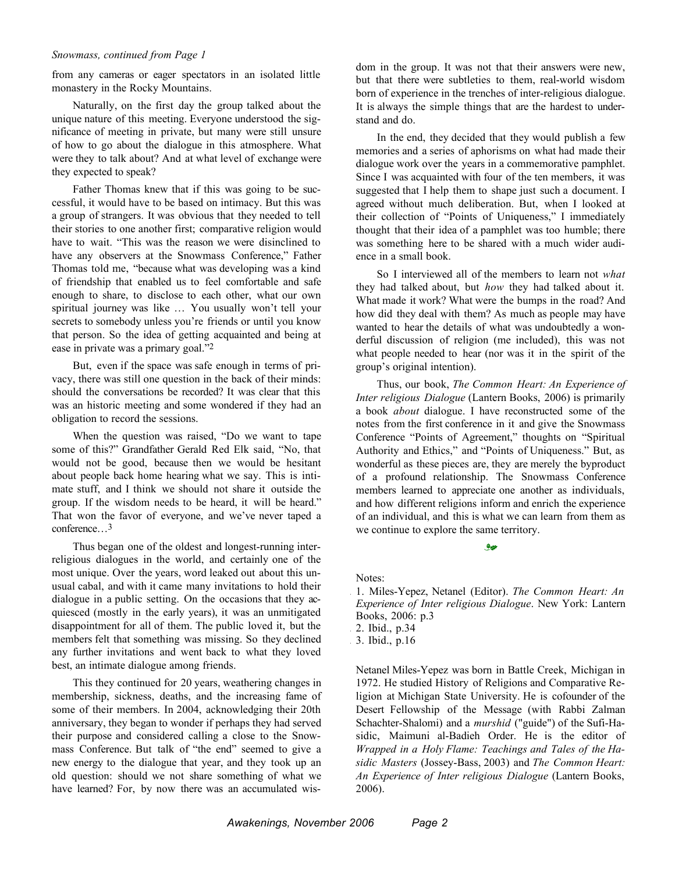#### *Snowmass, continued from Page 1*

from any cameras or eager spectators in an isolated little monastery in the Rocky Mountains.

Naturally, on the first day the group talked about the unique nature of this meeting. Everyone understood the significance of meeting in private, but many were still unsure of how to go about the dialogue in this atmosphere. What were they to talk about? And at what level of exchange were they expected to speak?

Father Thomas knew that if this was going to be successful, it would have to be based on intimacy. But this was a group of strangers. It was obvious that they needed to tell their stories to one another first; comparative religion would have to wait. "This was the reason we were disinclined to have any observers at the Snowmass Conference," Father Thomas told me, "because what was developing was a kind of friendship that enabled us to feel comfortable and safe enough to share, to disclose to each other, what our own spiritual journey was like … You usually won't tell your secrets to somebody unless you're friends or until you know that person. So the idea of getting acquainted and being at ease in private was a primary goal."2

But, even if the space was safe enough in terms of privacy, there was still one question in the back of their minds: should the conversations be recorded? It was clear that this was an historic meeting and some wondered if they had an obligation to record the sessions.

When the question was raised, "Do we want to tape some of this?" Grandfather Gerald Red Elk said, "No, that would not be good, because then we would be hesitant about people back home hearing what we say. This is intimate stuff, and I think we should not share it outside the group. If the wisdom needs to be heard, it will be heard." That won the favor of everyone, and we've never taped a conference…3

Thus began one of the oldest and longest-running interreligious dialogues in the world, and certainly one of the most unique. Over the years, word leaked out about this unusual cabal, and with it came many invitations to hold their dialogue in a public setting. On the occasions that they acquiesced (mostly in the early years), it was an unmitigated disappointment for all of them. The public loved it, but the members felt that something was missing. So they declined any further invitations and went back to what they loved best, an intimate dialogue among friends.

This they continued for 20 years, weathering changes in membership, sickness, deaths, and the increasing fame of some of their members. In 2004, acknowledging their 20th anniversary, they began to wonder if perhaps they had served their purpose and considered calling a close to the Snowmass Conference. But talk of "the end" seemed to give a new energy to the dialogue that year, and they took up an old question: should we not share something of what we have learned? For, by now there was an accumulated wisdom in the group. It was not that their answers were new, but that there were subtleties to them, real-world wisdom born of experience in the trenches of inter-religious dialogue. It is always the simple things that are the hardest to understand and do.

In the end, they decided that they would publish a few memories and a series of aphorisms on what had made their dialogue work over the years in a commemorative pamphlet. Since I was acquainted with four of the ten members, it was suggested that I help them to shape just such a document. I agreed without much deliberation. But, when I looked at their collection of "Points of Uniqueness," I immediately thought that their idea of a pamphlet was too humble; there was something here to be shared with a much wider audience in a small book.

So I interviewed all of the members to learn not *what* they had talked about, but *how* they had talked about it. What made it work? What were the bumps in the road? And how did they deal with them? As much as people may have wanted to hear the details of what was undoubtedly a wonderful discussion of religion (me included), this was not what people needed to hear (nor was it in the spirit of the group's original intention).

Thus, our book, *The Common Heart: An Experience of Inter religious Dialogue* (Lantern Books, 2006) is primarily a book *about* dialogue. I have reconstructed some of the notes from the first conference in it and give the Snowmass Conference "Points of Agreement," thoughts on "Spiritual Authority and Ethics," and "Points of Uniqueness." But, as wonderful as these pieces are, they are merely the byproduct of a profound relationship. The Snowmass Conference members learned to appreciate one another as individuals, and how different religions inform and enrich the experience of an individual, and this is what we can learn from them as we continue to explore the same territory.

Notes:

1. 1. Miles-Yepez, Netanel (Editor). *The Common Heart: An Experience of Inter religious Dialogue*. New York: Lantern Books, 2006: p.3 2. Ibid., p.34

موثى

3. 3. Ibid., p.16

Netanel Miles-Yepez was born in Battle Creek, Michigan in 1972. He studied History of Religions and Comparative Religion at Michigan State University. He is cofounder of the Desert Fellowship of the Message (with Rabbi Zalman Schachter-Shalomi) and a *murshid* ("guide") of the Sufi-Hasidic, Maimuni al-Badieh Order. He is the editor of *Wrapped in a Holy Flame: Teachings and Tales of the Hasidic Masters* (Jossey-Bass, 2003) and *The Common Heart: An Experience of Inter religious Dialogue* (Lantern Books, 2006).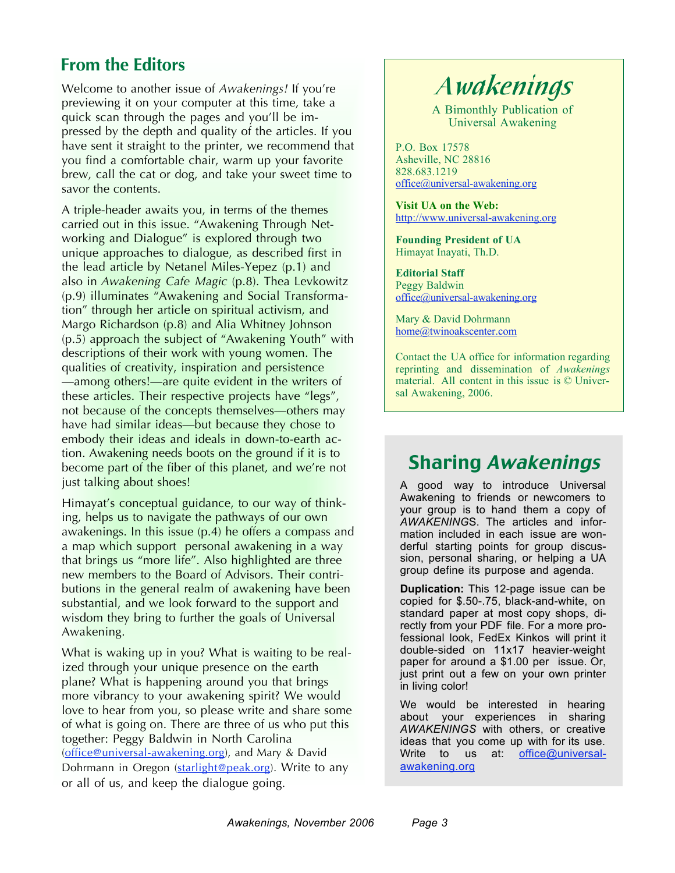## **From the Editors**

Welcome to another issue of *Awakenings!* If you're previewing it on your computer at this time, take a quick scan through the pages and you'll be impressed by the depth and quality of the articles. If you have sent it straight to the printer, we recommend that you find a comfortable chair, warm up your favorite brew, call the cat or dog, and take your sweet time to savor the contents.

A triple-header awaits you, in terms of the themes carried out in this issue. "Awakening Through Networking and Dialogue" is explored through two unique approaches to dialogue, as described first in the lead article by Netanel Miles-Yepez (p.1) and also in *Awakening Cafe Magic* (p.8). Thea Levkowitz (p.9) illuminates "Awakening and Social Transformation" through her article on spiritual activism, and Margo Richardson (p.8) and Alia Whitney Johnson (p.5) approach the subject of "Awakening Youth" with descriptions of their work with young women. The qualities of creativity, inspiration and persistence —among others!—are quite evident in the writers of these articles. Their respective projects have "legs", not because of the concepts themselves—others may have had similar ideas—but because they chose to embody their ideas and ideals in down-to-earth action. Awakening needs boots on the ground if it is to become part of the fiber of this planet, and we're not just talking about shoes!

Himayat's conceptual guidance, to our way of thinking, helps us to navigate the pathways of our own awakenings. In this issue (p.4) he offers a compass and a map which support personal awakening in a way that brings us "more life". Also highlighted are three new members to the Board of Advisors. Their contributions in the general realm of awakening have been substantial, and we look forward to the support and wisdom they bring to further the goals of Universal Awakening.

What is waking up in you? What is waiting to be realized through your unique presence on the earth plane? What is happening around you that brings more vibrancy to your awakening spirit? We would love to hear from you, so please write and share some of what is going on. There are three of us who put this together: Peggy Baldwin in North Carolina (office@universal-awakening.org), and Mary & David Dohrmann in Oregon (starlight@peak.org). Write to any or all of us, and keep the dialogue going.

# *Awakenings*

A Bimonthly Publication of Universal Awakening

P.O. Box 17578 Asheville, NC 28816 828.683.1219 office@universal-awakening.org

**Visit UA on the Web:** http://www.universal-awakening.org

**Founding President of UA** Himayat Inayati, Th.D.

**Editorial Staff** Peggy Baldwin office@universal-awakening.org

Mary & David Dohrmann home@twinoakscenter.com

Contact the UA office for information regarding reprinting and dissemination of *Awakenings* material. All content in this issue is © Universal Awakening, 2006.

## Sharing Awakenings

A good way to introduce Universal Awakening to friends or newcomers to your group is to hand them a copy of *AWAKENING*S. The articles and information included in each issue are wonderful starting points for group discussion, personal sharing, or helping a UA group define its purpose and agenda.

**Duplication:** This 12-page issue can be copied for \$.50-.75, black-and-white, on standard paper at most copy shops, directly from your PDF file. For a more professional look, FedEx Kinkos will print it double-sided on 11x17 heavier-weight paper for around a \$1.00 per issue. Or, just print out a few on your own printer in living color!

We would be interested in hearing about your experiences in sharing *AWAKENINGS* with others, or creative ideas that you come up with for its use. Write to us at: office@universalawakening.org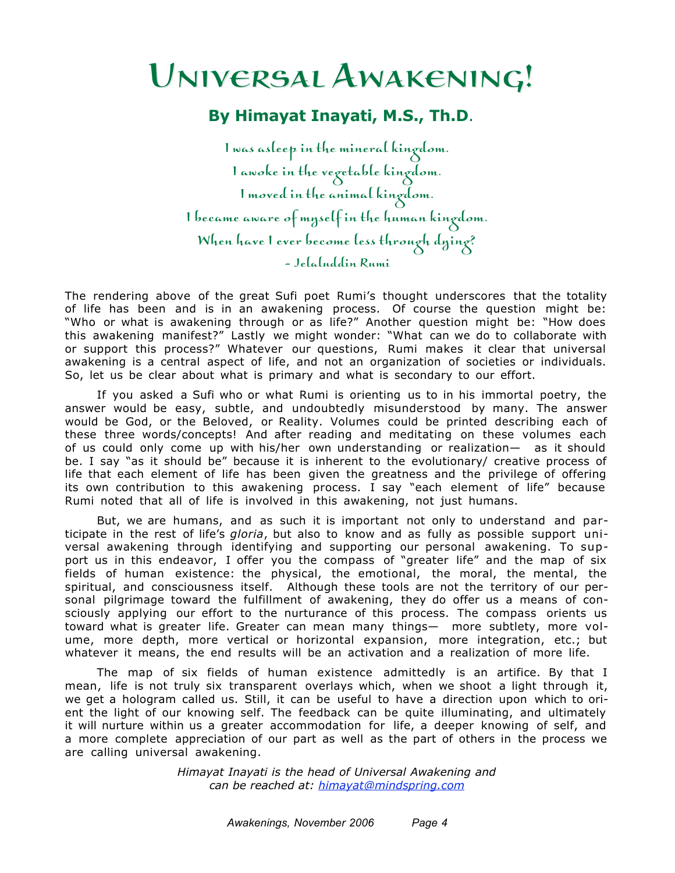# Universal Awakening! Universal Awakening!

### **By Himayat Inayati, M.S., Th.D**.

I was asleep in the mineral kingdom. I awoke in the vegetable kingdom. I moved in the animal kingdom. I became aware of myself in the human kingdom. When have I ever become less through dying? - Jelaluddin Rumi

The rendering above of the great Sufi poet Rumi's thought underscores that the totality of life has been and is in an awakening process. Of course the question might be: "Who or what is awakening through or as life?" Another question might be: "How does this awakening manifest?" Lastly we might wonder: "What can we do to collaborate with or support this process?" Whatever our questions, Rumi makes it clear that universal awakening is a central aspect of life, and not an organization of societies or individuals. So, let us be clear about what is primary and what is secondary to our effort.

If you asked a Sufi who or what Rumi is orienting us to in his immortal poetry, the answer would be easy, subtle, and undoubtedly misunderstood by many. The answer would be God, or the Beloved, or Reality. Volumes could be printed describing each of these three words/concepts! And after reading and meditating on these volumes each of us could only come up with his/her own understanding or realization— as it should be. I say "as it should be" because it is inherent to the evolutionary/ creative process of life that each element of life has been given the greatness and the privilege of offering its own contribution to this awakening process. I say "each element of life" because Rumi noted that all of life is involved in this awakening, not just humans.

But, we are humans, and as such it is important not only to understand and participate in the rest of life's *gloria*, but also to know and as fully as possible support universal awakening through identifying and supporting our personal awakening. To support us in this endeavor, I offer you the compass of "greater life" and the map of six fields of human existence: the physical, the emotional, the moral, the mental, the spiritual, and consciousness itself. Although these tools are not the territory of our personal pilgrimage toward the fulfillment of awakening, they do offer us a means of consciously applying our effort to the nurturance of this process. The compass orients us toward what is greater life. Greater can mean many things— more subtlety, more volume, more depth, more vertical or horizontal expansion, more integration, etc.; but whatever it means, the end results will be an activation and a realization of more life.

The map of six fields of human existence admittedly is an artifice. By that I mean, life is not truly six transparent overlays which, when we shoot a light through it, we get a hologram called us. Still, it can be useful to have a direction upon which to orient the light of our knowing self. The feedback can be quite illuminating, and ultimately it will nurture within us a greater accommodation for life, a deeper knowing of self, and a more complete appreciation of our part as well as the part of others in the process we are calling universal awakening.

> *Himayat Inayati is the head of Universal Awakening and can be reached at: himayat@mindspring.com*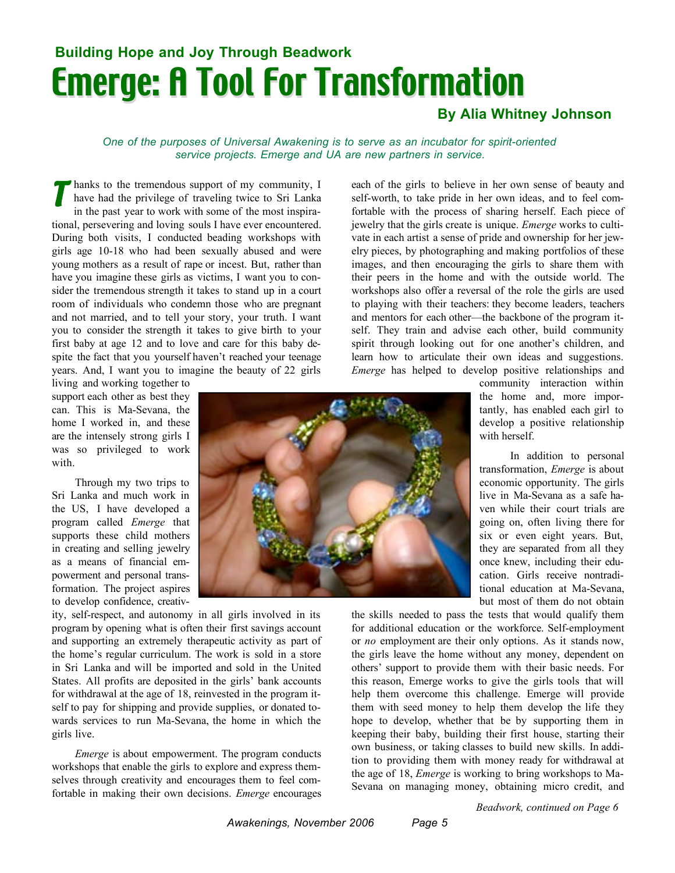# Emerge: A Tool For Transformation **Building Hope and Joy Through Beadwork**

### **By Alia Whitney Johnson**

*One of the purposes of Universal Awakening is to serve as an incubator for spirit-oriented service projects. Emerge and UA are new partners in service.*

hanks to the tremendous support of my community, I have had the privilege of traveling twice to Sri Lanka in the past year to work with some of the most inspirational, persevering and loving souls I have ever encountered. During both visits, I conducted beading workshops with girls age 10-18 who had been sexually abused and were young mothers as a result of rape or incest. But, rather than have you imagine these girls as victims, I want you to consider the tremendous strength it takes to stand up in a court room of individuals who condemn those who are pregnant and not married, and to tell your story, your truth. I want you to consider the strength it takes to give birth to your first baby at age 12 and to love and care for this baby despite the fact that you yourself haven't reached your teenage years. And, I want you to imagine the beauty of 22 girls *T*

living and working together to support each other as best they can. This is Ma-Sevana, the home I worked in, and these are the intensely strong girls I was so privileged to work with.

Through my two trips to Sri Lanka and much work in the US, I have developed a program called *Emerge* that supports these child mothers in creating and selling jewelry as a means of financial empowerment and personal transformation. The project aspires to develop confidence, creativ-

ity, self-respect, and autonomy in all girls involved in its program by opening what is often their first savings account and supporting an extremely therapeutic activity as part of the home's regular curriculum. The work is sold in a store in Sri Lanka and will be imported and sold in the United States. All profits are deposited in the girls' bank accounts for withdrawal at the age of 18, reinvested in the program itself to pay for shipping and provide supplies, or donated towards services to run Ma-Sevana, the home in which the girls live.

*Emerge* is about empowerment. The program conducts workshops that enable the girls to explore and express themselves through creativity and encourages them to feel comfortable in making their own decisions. *Emerge* encourages each of the girls to believe in her own sense of beauty and self-worth, to take pride in her own ideas, and to feel comfortable with the process of sharing herself. Each piece of jewelry that the girls create is unique. *Emerge* works to cultivate in each artist a sense of pride and ownership for her jewelry pieces, by photographing and making portfolios of these images, and then encouraging the girls to share them with their peers in the home and with the outside world. The workshops also offer a reversal of the role the girls are used to playing with their teachers: they become leaders, teachers and mentors for each other—the backbone of the program itself. They train and advise each other, build community spirit through looking out for one another's children, and learn how to articulate their own ideas and suggestions. *Emerge* has helped to develop positive relationships and

> community interaction within the home and, more importantly, has enabled each girl to develop a positive relationship with herself.

> In addition to personal transformation, *Emerge* is about economic opportunity. The girls live in Ma-Sevana as a safe haven while their court trials are going on, often living there for six or even eight years. But, they are separated from all they once knew, including their education. Girls receive nontraditional education at Ma-Sevana, but most of them do not obtain

the skills needed to pass the tests that would qualify them for additional education or the workforce. Self-employment or *no* employment are their only options. As it stands now, the girls leave the home without any money, dependent on others' support to provide them with their basic needs. For this reason, Emerge works to give the girls tools that will help them overcome this challenge. Emerge will provide them with seed money to help them develop the life they hope to develop, whether that be by supporting them in keeping their baby, building their first house, starting their own business, or taking classes to build new skills. In addition to providing them with money ready for withdrawal at the age of 18, *Emerge* is working to bring workshops to Ma-Sevana on managing money, obtaining micro credit, and

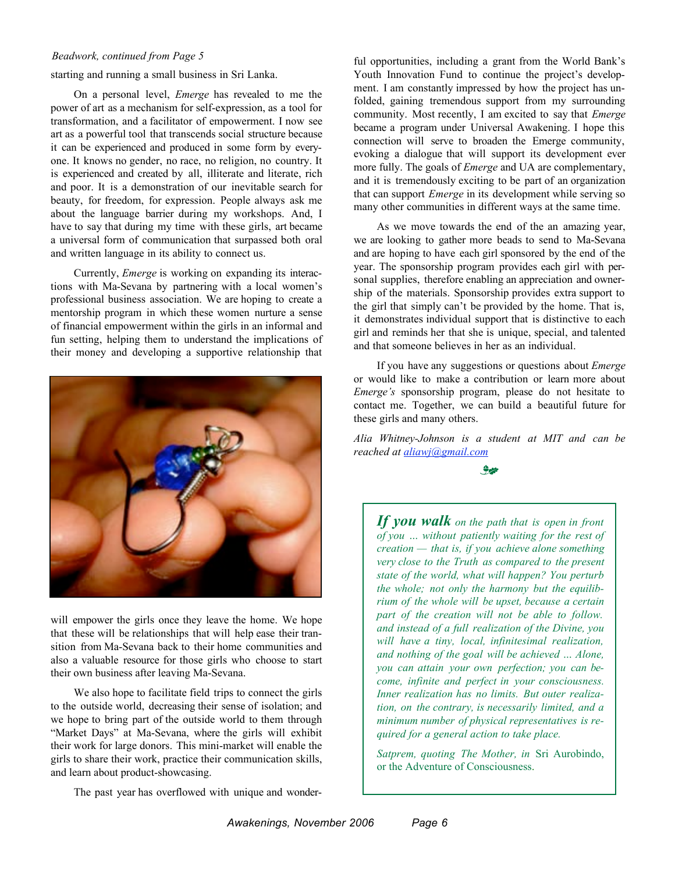#### *Beadwork, continued from Page 5*

starting and running a small business in Sri Lanka.

On a personal level, *Emerge* has revealed to me the power of art as a mechanism for self-expression, as a tool for transformation, and a facilitator of empowerment. I now see art as a powerful tool that transcends social structure because it can be experienced and produced in some form by everyone. It knows no gender, no race, no religion, no country. It is experienced and created by all, illiterate and literate, rich and poor. It is a demonstration of our inevitable search for beauty, for freedom, for expression. People always ask me about the language barrier during my workshops. And, I have to say that during my time with these girls, art became a universal form of communication that surpassed both oral and written language in its ability to connect us.

Currently, *Emerge* is working on expanding its interactions with Ma-Sevana by partnering with a local women's professional business association. We are hoping to create a mentorship program in which these women nurture a sense of financial empowerment within the girls in an informal and fun setting, helping them to understand the implications of their money and developing a supportive relationship that



will empower the girls once they leave the home. We hope that these will be relationships that will help ease their transition from Ma-Sevana back to their home communities and also a valuable resource for those girls who choose to start their own business after leaving Ma-Sevana.

We also hope to facilitate field trips to connect the girls to the outside world, decreasing their sense of isolation; and we hope to bring part of the outside world to them through "Market Days" at Ma-Sevana, where the girls will exhibit their work for large donors. This mini-market will enable the girls to share their work, practice their communication skills, and learn about product-showcasing.

The past year has overflowed with unique and wonder-

ful opportunities, including a grant from the World Bank's Youth Innovation Fund to continue the project's development. I am constantly impressed by how the project has unfolded, gaining tremendous support from my surrounding community. Most recently, I am excited to say that *Emerge* became a program under Universal Awakening. I hope this connection will serve to broaden the Emerge community, evoking a dialogue that will support its development ever more fully. The goals of *Emerge* and UA are complementary, and it is tremendously exciting to be part of an organization that can support *Emerge* in its development while serving so many other communities in different ways at the same time.

As we move towards the end of the an amazing year, we are looking to gather more beads to send to Ma-Sevana and are hoping to have each girl sponsored by the end of the year. The sponsorship program provides each girl with personal supplies, therefore enabling an appreciation and ownership of the materials. Sponsorship provides extra support to the girl that simply can't be provided by the home. That is, it demonstrates individual support that is distinctive to each girl and reminds her that she is unique, special, and talented and that someone believes in her as an individual.

If you have any suggestions or questions about *Emerge* or would like to make a contribution or learn more about *Emerge's* sponsorship program, please do not hesitate to contact me. Together, we can build a beautiful future for these girls and many others.

*Alia Whitney-Johnson is a student at MIT and can be reached at aliawj@gmail.com*

<u>e</u>

*If you walk on the path that is open in front of you … without patiently waiting for the rest of creation — that is, if you achieve alone something very close to the Truth as compared to the present state of the world, what will happen? You perturb the whole; not only the harmony but the equilibrium of the whole will be upset, because a certain part of the creation will not be able to follow. and instead of a full realization of the Divine, you will have a tiny, local, infinitesimal realization, and nothing of the goal will be achieved … Alone, you can attain your own perfection; you can become, infinite and perfect in your consciousness. Inner realization has no limits. But outer realization, on the contrary, is necessarily limited, and a minimum number of physical representatives is required for a general action to take place.*

*Satprem, quoting The Mother, in* Sri Aurobindo, or the Adventure of Consciousness.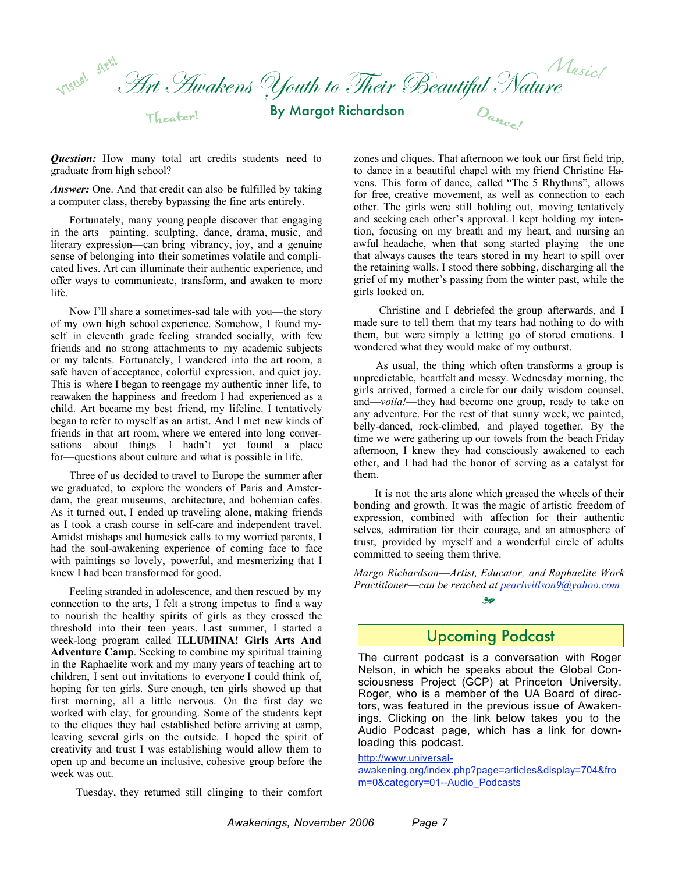Art Awakens Youth to Their Beautiful Nature By Margot Richardson Visual Herl Theater! *Music!*  $D_{a_{n_{c}}}$ 

**Question:** How many total art credits students need to graduate from high school?

*Answer:* One. And that credit can also be fulfilled by taking a computer class, thereby bypassing the fine arts entirely.

Fortunately, many young people discover that engaging in the arts—painting, sculpting, dance, drama, music, and literary expression—can bring vibrancy, joy, and a genuine sense of belonging into their sometimes volatile and complicated lives. Art can illuminate their authentic experience, and offer ways to communicate, transform, and awaken to more life.

Now I'll share a sometimes-sad tale with you—the story of my own high school experience. Somehow, I found myself in eleventh grade feeling stranded socially, with few friends and no strong attachments to my academic subjects or my talents. Fortunately, I wandered into the art room, a safe haven of acceptance, colorful expression, and quiet joy. This is where I began to reengage my authentic inner life, to reawaken the happiness and freedom I had experienced as a child. Art became my best friend, my lifeline. I tentatively began to refer to myself as an artist. And I met new kinds of friends in that art room, where we entered into long conversations about things I hadn't yet found a place for—questions about culture and what is possible in life.

Three of us decided to travel to Europe the summer after we graduated, to explore the wonders of Paris and Amsterdam, the great museums, architecture, and bohemian cafes. As it turned out, I ended up traveling alone, making friends as I took a crash course in self-care and independent travel. Amidst mishaps and homesick calls to my worried parents, I had the soul-awakening experience of coming face to face with paintings so lovely, powerful, and mesmerizing that I knew I had been transformed for good.

Feeling stranded in adolescence, and then rescued by my connection to the arts, I felt a strong impetus to find a way to nourish the healthy spirits of girls as they crossed the threshold into their teen years. Last summer, I started a week-long program called **ILLUMINA! Girls Arts And Adventure Camp**. Seeking to combine my spiritual training in the Raphaelite work and my many years of teaching art to children, I sent out invitations to everyone I could think of, hoping for ten girls. Sure enough, ten girls showed up that first morning, all a little nervous. On the first day we worked with clay, for grounding. Some of the students kept to the cliques they had established before arriving at camp, leaving several girls on the outside. I hoped the spirit of creativity and trust I was establishing would allow them to open up and become an inclusive, cohesive group before the week was out.

Tuesday, they returned still clinging to their comfort

zones and cliques. That afternoon we took our first field trip, to dance in a beautiful chapel with my friend Christine Havens. This form of dance, called "The 5 Rhythms", allows for free, creative movement, as well as connection to each other. The girls were still holding out, moving tentatively and seeking each other's approval. I kept holding my intention, focusing on my breath and my heart, and nursing an awful headache, when that song started playing—the one that always causes the tears stored in my heart to spill over the retaining walls. I stood there sobbing, discharging all the grief of my mother's passing from the winter past, while the girls looked on.

Christine and I debriefed the group afterwards, and I made sure to tell them that my tears had nothing to do with them, but were simply a letting go of stored emotions. I wondered what they would make of my outburst.

As usual, the thing which often transforms a group is unpredictable, heartfelt and messy. Wednesday morning, the girls arrived, formed a circle for our daily wisdom counsel, and—*voila!*—they had become one group, ready to take on any adventure. For the rest of that sunny week, we painted, belly-danced, rock-climbed, and played together. By the time we were gathering up our towels from the beach Friday afternoon, I knew they had consciously awakened to each other, and I had had the honor of serving as a catalyst for them.

It is not the arts alone which greased the wheels of their bonding and growth. It was the magic of artistic freedom of expression, combined with affection for their authentic selves, admiration for their courage, and an atmosphere of trust, provided by myself and a wonderful circle of adults committed to seeing them thrive.

*Margo Richardson*—*Artist, Educator, and Raphaelite Work Practitioner*—*can be reached at pearlwillson9@yahoo.com*  $rac{1}{\sqrt{2}}$ 

### Upcoming Podcast

The current podcast is a conversation with Roger Nelson, in which he speaks about the Global Consciousness Project (GCP) at Princeton University. Roger, who is a member of the UA Board of directors, was featured in the previous issue of Awakenings. Clicking on the link below takes you to the Audio Podcast page, which has a link for downloading this podcast.

http://www.universal-

awakening.org/index.php?page=articles&display=704&fro m=0&category=01--Audio\_Podcasts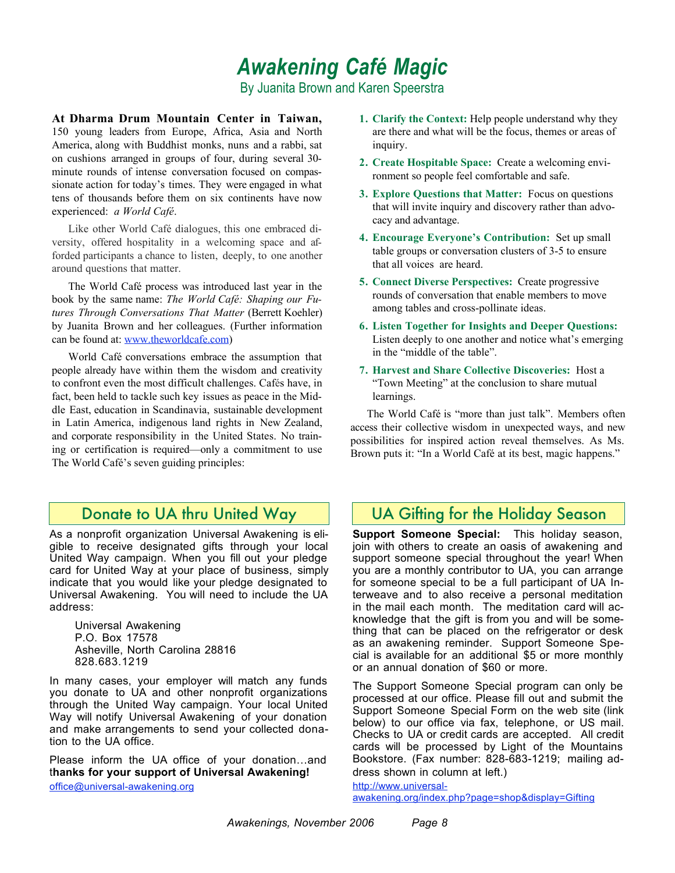# *Awakening Café Magic*

By Juanita Brown and Karen Speerstra

**At Dharma Drum Mountain Center in Taiwan,** 150 young leaders from Europe, Africa, Asia and North America, along with Buddhist monks, nuns and a rabbi, sat on cushions arranged in groups of four, during several 30 minute rounds of intense conversation focused on compassionate action for today's times. They were engaged in what tens of thousands before them on six continents have now experienced: *a World Café*.

Like other World Café dialogues, this one embraced diversity, offered hospitality in a welcoming space and afforded participants a chance to listen, deeply, to one another around questions that matter.

The World Café process was introduced last year in the book by the same name: *The World Café: Shaping our Futures Through Conversations That Matter* (Berrett Koehler) by Juanita Brown and her colleagues. (Further information can be found at: www.theworldcafe.com)

World Café conversations embrace the assumption that people already have within them the wisdom and creativity to confront even the most difficult challenges. Cafés have, in fact, been held to tackle such key issues as peace in the Middle East, education in Scandinavia, sustainable development in Latin America, indigenous land rights in New Zealand, and corporate responsibility in the United States. No training or certification is required—only a commitment to use The World Café's seven guiding principles:

### Donate to UA thru United Way

As a nonprofit organization Universal Awakening is eligible to receive designated gifts through your local United Way campaign. When you fill out your pledge card for United Way at your place of business, simply indicate that you would like your pledge designated to Universal Awakening. You will need to include the UA address:

Universal Awakening P.O. Box 17578 Asheville, North Carolina 28816 828.683.1219

In many cases, your employer will match any funds you donate to UA and other nonprofit organizations through the United Way campaign. Your local United Way will notify Universal Awakening of your donation and make arrangements to send your collected donation to the UA office.

Please inform the UA office of your donation…and t**hanks for your support of Universal Awakening!** office@universal-awakening.org

- **1. Clarify the Context:** Help people understand why they are there and what will be the focus, themes or areas of inquiry.
- **2. Create Hospitable Space:** Create a welcoming environment so people feel comfortable and safe.
- **3. Explore Questions that Matter:** Focus on questions that will invite inquiry and discovery rather than advocacy and advantage.
- **4. Encourage Everyone's Contribution:** Set up small table groups or conversation clusters of 3-5 to ensure that all voices are heard.
- **5. Connect Diverse Perspectives:** Create progressive rounds of conversation that enable members to move among tables and cross-pollinate ideas.
- **6. Listen Together for Insights and Deeper Questions:** Listen deeply to one another and notice what's emerging in the "middle of the table".
- **7. Harvest and Share Collective Discoveries:** Host a "Town Meeting" at the conclusion to share mutual learnings.

The World Café is "more than just talk". Members often access their collective wisdom in unexpected ways, and new possibilities for inspired action reveal themselves. As Ms. Brown puts it: "In a World Café at its best, magic happens."

### UA Gifting for the Holiday Season

**Support Someone Special:** This holiday season, join with others to create an oasis of awakening and support someone special throughout the year! When you are a monthly contributor to UA, you can arrange for someone special to be a full participant of UA Interweave and to also receive a personal meditation in the mail each month. The meditation card will acknowledge that the gift is from you and will be something that can be placed on the refrigerator or desk as an awakening reminder. Support Someone Special is available for an additional \$5 or more monthly or an annual donation of \$60 or more.

The Support Someone Special program can only be processed at our office. Please fill out and submit the Support Someone Special Form on the web site (link below) to our office via fax, telephone, or US mail. Checks to UA or credit cards are accepted. All credit cards will be processed by Light of the Mountains Bookstore. (Fax number: 828-683-1219; mailing address shown in column at left.)

http://www.universalawakening.org/index.php?page=shop&display=Gifting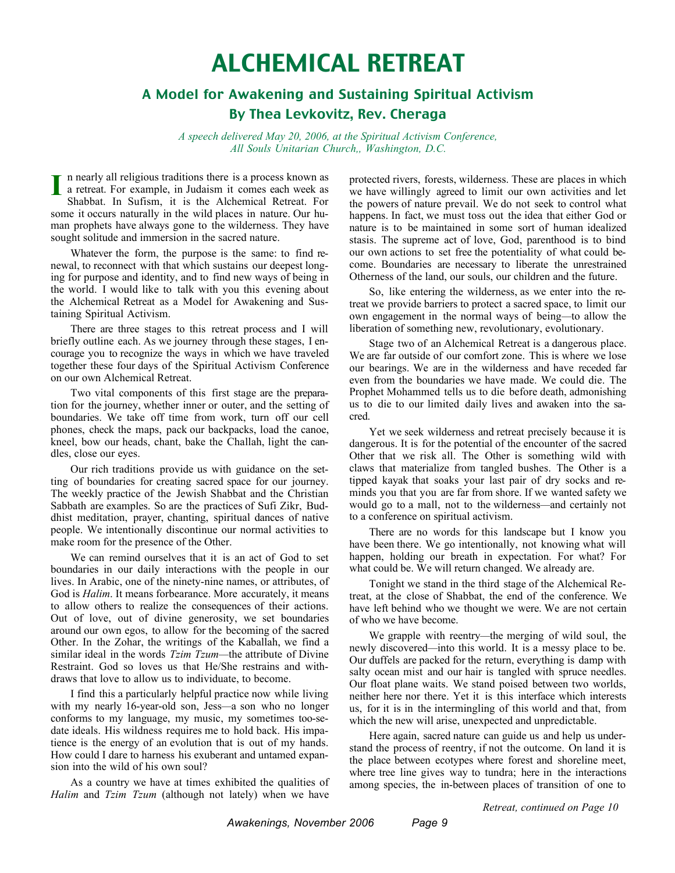# ALCHEMICAL RETREAT

### A Model for Awakening and Sustaining Spiritual Activism By Thea Levkovitz, Rev. Cheraga

*A speech delivered May 20, 2006, at the Spiritual Activism Conference, All Souls Unitarian Church,, Washington, D.C.*

n nearly all religious traditions there is a process known as I a retreat. For example, in Judaism it comes each week as<br> **I** a retreat. For example, in Judaism it comes each week as<br> **I** Shakket, In Suffame it is the Alakamical Betreat. For Shabbat. In Sufism, it is the Alchemical Retreat. For some it occurs naturally in the wild places in nature. Our human prophets have always gone to the wilderness. They have sought solitude and immersion in the sacred nature.

Whatever the form, the purpose is the same: to find renewal, to reconnect with that which sustains our deepest longing for purpose and identity, and to find new ways of being in the world. I would like to talk with you this evening about the Alchemical Retreat as a Model for Awakening and Sustaining Spiritual Activism.

There are three stages to this retreat process and I will briefly outline each. As we journey through these stages, I encourage you to recognize the ways in which we have traveled together these four days of the Spiritual Activism Conference on our own Alchemical Retreat.

Two vital components of this first stage are the preparation for the journey, whether inner or outer, and the setting of boundaries. We take off time from work, turn off our cell phones, check the maps, pack our backpacks, load the canoe, kneel, bow our heads, chant, bake the Challah, light the candles, close our eyes.

Our rich traditions provide us with guidance on the setting of boundaries for creating sacred space for our journey. The weekly practice of the Jewish Shabbat and the Christian Sabbath are examples. So are the practices of Sufi Zikr, Buddhist meditation, prayer, chanting, spiritual dances of native people. We intentionally discontinue our normal activities to make room for the presence of the Other.

We can remind ourselves that it is an act of God to set boundaries in our daily interactions with the people in our lives. In Arabic, one of the ninety-nine names, or attributes, of God is *Halim*. It means forbearance. More accurately, it means to allow others to realize the consequences of their actions. Out of love, out of divine generosity, we set boundaries around our own egos, to allow for the becoming of the sacred Other. In the Zohar, the writings of the Kaballah, we find a similar ideal in the words *Tzim Tzum—*the attribute of Divine Restraint. God so loves us that He/She restrains and withdraws that love to allow us to individuate, to become.

I find this a particularly helpful practice now while living with my nearly 16-year-old son, Jess*—*a son who no longer conforms to my language, my music, my sometimes too-sedate ideals. His wildness requires me to hold back. His impatience is the energy of an evolution that is out of my hands. How could I dare to harness his exuberant and untamed expansion into the wild of his own soul?

As a country we have at times exhibited the qualities of *Halim* and *Tzim Tzum* (although not lately) when we have

protected rivers, forests, wilderness. These are places in which we have willingly agreed to limit our own activities and let the powers of nature prevail. We do not seek to control what happens. In fact, we must toss out the idea that either God or nature is to be maintained in some sort of human idealized stasis. The supreme act of love, God, parenthood is to bind our own actions to set free the potentiality of what could become. Boundaries are necessary to liberate the unrestrained Otherness of the land, our souls, our children and the future.

So, like entering the wilderness, as we enter into the retreat we provide barriers to protect a sacred space, to limit our own engagement in the normal ways of being*—*to allow the liberation of something new, revolutionary, evolutionary.

Stage two of an Alchemical Retreat is a dangerous place. We are far outside of our comfort zone. This is where we lose our bearings. We are in the wilderness and have receded far even from the boundaries we have made. We could die. The Prophet Mohammed tells us to die before death, admonishing us to die to our limited daily lives and awaken into the sacred.

Yet we seek wilderness and retreat precisely because it is dangerous. It is for the potential of the encounter of the sacred Other that we risk all. The Other is something wild with claws that materialize from tangled bushes. The Other is a tipped kayak that soaks your last pair of dry socks and reminds you that you are far from shore. If we wanted safety we would go to a mall, not to the wilderness*—*and certainly not to a conference on spiritual activism.

There are no words for this landscape but I know you have been there. We go intentionally, not knowing what will happen, holding our breath in expectation. For what? For what could be. We will return changed. We already are.

Tonight we stand in the third stage of the Alchemical Retreat, at the close of Shabbat, the end of the conference. We have left behind who we thought we were. We are not certain of who we have become.

We grapple with reentry*—*the merging of wild soul, the newly discovered*—*into this world. It is a messy place to be. Our duffels are packed for the return, everything is damp with salty ocean mist and our hair is tangled with spruce needles. Our float plane waits. We stand poised between two worlds, neither here nor there. Yet it is this interface which interests us, for it is in the intermingling of this world and that, from which the new will arise, unexpected and unpredictable.

Here again, sacred nature can guide us and help us understand the process of reentry, if not the outcome. On land it is the place between ecotypes where forest and shoreline meet, where tree line gives way to tundra; here in the interactions among species, the in-between places of transition of one to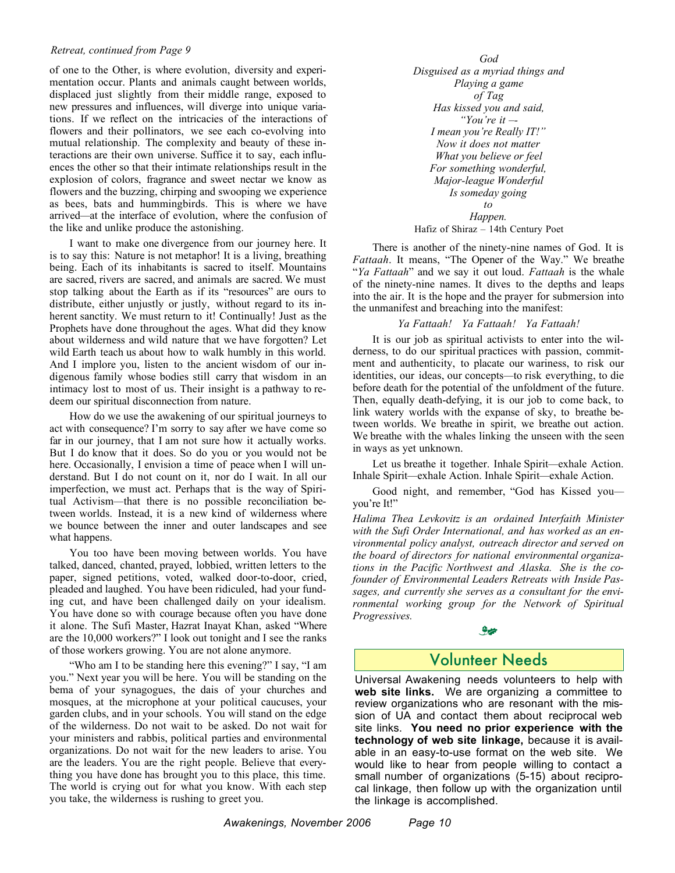#### *Retreat, continued from Page 9*

of one to the Other, is where evolution, diversity and experimentation occur. Plants and animals caught between worlds, displaced just slightly from their middle range, exposed to new pressures and influences, will diverge into unique variations. If we reflect on the intricacies of the interactions of flowers and their pollinators, we see each co-evolving into mutual relationship. The complexity and beauty of these interactions are their own universe. Suffice it to say, each influences the other so that their intimate relationships result in the explosion of colors, fragrance and sweet nectar we know as flowers and the buzzing, chirping and swooping we experience as bees, bats and hummingbirds. This is where we have arrived*—*at the interface of evolution, where the confusion of the like and unlike produce the astonishing.

I want to make one divergence from our journey here. It is to say this: Nature is not metaphor! It is a living, breathing being. Each of its inhabitants is sacred to itself. Mountains are sacred, rivers are sacred, and animals are sacred. We must stop talking about the Earth as if its "resources" are ours to distribute, either unjustly or justly, without regard to its inherent sanctity. We must return to it! Continually! Just as the Prophets have done throughout the ages. What did they know about wilderness and wild nature that we have forgotten? Let wild Earth teach us about how to walk humbly in this world. And I implore you, listen to the ancient wisdom of our indigenous family whose bodies still carry that wisdom in an intimacy lost to most of us. Their insight is a pathway to redeem our spiritual disconnection from nature.

How do we use the awakening of our spiritual journeys to act with consequence? I'm sorry to say after we have come so far in our journey, that I am not sure how it actually works. But I do know that it does. So do you or you would not be here. Occasionally, I envision a time of peace when I will understand. But I do not count on it, nor do I wait. In all our imperfection, we must act. Perhaps that is the way of Spiritual Activism*—*that there is no possible reconciliation between worlds. Instead, it is a new kind of wilderness where we bounce between the inner and outer landscapes and see what happens.

You too have been moving between worlds. You have talked, danced, chanted, prayed, lobbied, written letters to the paper, signed petitions, voted, walked door-to-door, cried, pleaded and laughed. You have been ridiculed, had your funding cut, and have been challenged daily on your idealism. You have done so with courage because often you have done it alone. The Sufi Master, Hazrat Inayat Khan, asked "Where are the 10,000 workers?" I look out tonight and I see the ranks of those workers growing. You are not alone anymore.

"Who am I to be standing here this evening?" I say, "I am you." Next year you will be here. You will be standing on the bema of your synagogues, the dais of your churches and mosques, at the microphone at your political caucuses, your garden clubs, and in your schools. You will stand on the edge of the wilderness. Do not wait to be asked. Do not wait for your ministers and rabbis, political parties and environmental organizations. Do not wait for the new leaders to arise. You are the leaders. You are the right people. Believe that everything you have done has brought you to this place, this time. The world is crying out for what you know. With each step you take, the wilderness is rushing to greet you.

*God Disguised as a myriad things and Playing a game of Tag Has kissed you and said, "You're it –- I mean you're Really IT!" Now it does not matter What you believe or feel For something wonderful, Major-league Wonderful Is someday going to Happen.* Hafiz of Shiraz – 14th Century Poet

There is another of the ninety-nine names of God. It is *Fattaah*. It means, "The Opener of the Way." We breathe "*Ya Fattaah*" and we say it out loud. *Fattaah* is the whale of the ninety-nine names. It dives to the depths and leaps into the air. It is the hope and the prayer for submersion into the unmanifest and breaching into the manifest:

#### *Ya Fattaah! Ya Fattaah! Ya Fattaah!*

It is our job as spiritual activists to enter into the wilderness, to do our spiritual practices with passion, commitment and authenticity, to placate our wariness, to risk our identities, our ideas, our concepts*—*to risk everything, to die before death for the potential of the unfoldment of the future. Then, equally death-defying, it is our job to come back, to link watery worlds with the expanse of sky, to breathe between worlds. We breathe in spirit, we breathe out action. We breathe with the whales linking the unseen with the seen in ways as yet unknown.

Let us breathe it together. Inhale Spirit*—*exhale Action. Inhale Spirit*—*exhale Action. Inhale Spirit*—*exhale Action.

Good night, and remember, "God has Kissed you you're It!"

*Halima Thea Levkovitz is an ordained Interfaith Minister with the Sufi Order International, and has worked as an environmental policy analyst, outreach director and served on the board of directors for national environmental organizations in the Pacific Northwest and Alaska. She is the cofounder of Environmental Leaders Retreats with Inside Passages, and currently she serves as a consultant for the environmental working group for the Network of Spiritual Progressives.*

### **م ب**

### Volunteer Needs

Universal Awakening needs volunteers to help with **web site links.** We are organizing a committee to review organizations who are resonant with the mission of UA and contact them about reciprocal web site links. **You need no prior experience with the technology of web site linkage,** because it is available in an easy-to-use format on the web site. We would like to hear from people willing to contact a small number of organizations (5-15) about reciprocal linkage, then follow up with the organization until the linkage is accomplished.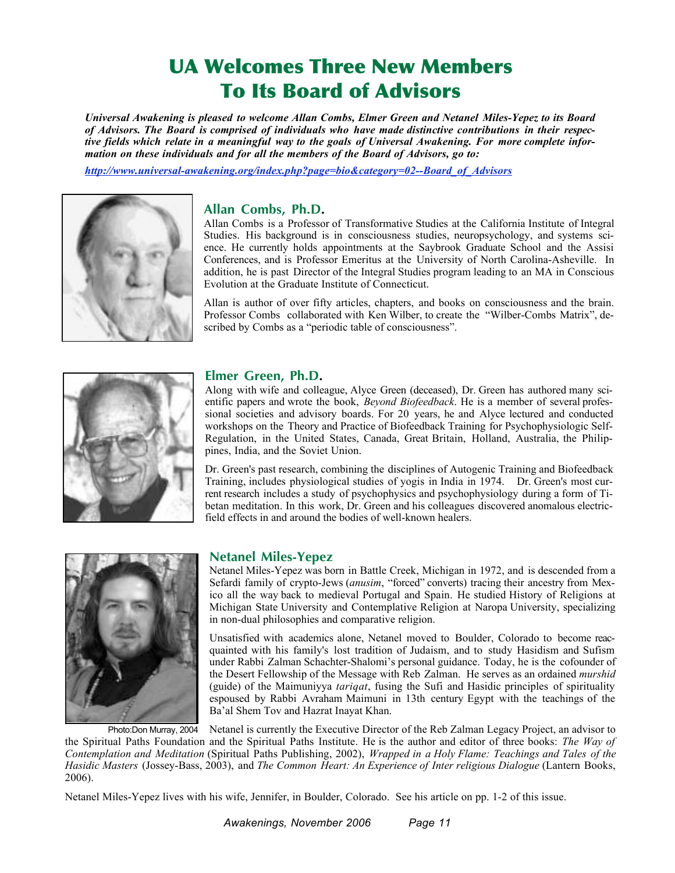# UA Welcomes Three New Members To Its Board of Advisors

*Universal Awakening is pleased to welcome Allan Combs, Elmer Green and Netanel Miles-Yepez to its Board of Advisors. The Board is comprised of individuals who have made distinctive contributions in their respec*tive fields which relate in a meaningful way to the goals of Universal Awakening. For more complete infor*mation on these individuals and for all the members of the Board of Advisors, go to:*

*http://www.universal-awakening.org/index.php?page=bio&category=02--Board\_of\_Advisors*



#### **Allan Combs, Ph.D.**

Allan Combs is a Professor of Transformative Studies at the California Institute of Integral Studies. His background is in consciousness studies, neuropsychology, and systems science. He currently holds appointments at the Saybrook Graduate School and the Assisi Conferences, and is Professor Emeritus at the University of North Carolina-Asheville. In addition, he is past Director of the Integral Studies program leading to an MA in Conscious Evolution at the Graduate Institute of Connecticut.

Allan is author of over fifty articles, chapters, and books on consciousness and the brain. Professor Combs collaborated with Ken Wilber, to create the "Wilber-Combs Matrix", described by Combs as a "periodic table of consciousness".



#### **Elmer Green, Ph.D.**

Along with wife and colleague, Alyce Green (deceased), Dr. Green has authored many scientific papers and wrote the book, *Beyond Biofeedback*. He is a member of several professional societies and advisory boards. For 20 years, he and Alyce lectured and conducted workshops on the Theory and Practice of Biofeedback Training for Psychophysiologic Self-Regulation, in the United States, Canada, Great Britain, Holland, Australia, the Philippines, India, and the Soviet Union.

Dr. Green's past research, combining the disciplines of Autogenic Training and Biofeedback Training, includes physiological studies of yogis in India in 1974. Dr. Green's most current research includes a study of psychophysics and psychophysiology during a form of Tibetan meditation. In this work, Dr. Green and his colleagues discovered anomalous electricfield effects in and around the bodies of well-known healers.



#### **Netanel Miles-Yepez**

Netanel Miles-Yepez was born in Battle Creek, Michigan in 1972, and is descended from a Sefardi family of crypto-Jews (*anusim*, "forced" converts) tracing their ancestry from Mexico all the way back to medieval Portugal and Spain. He studied History of Religions at Michigan State University and Contemplative Religion at Naropa University, specializing in non-dual philosophies and comparative religion.

Unsatisfied with academics alone, Netanel moved to Boulder, Colorado to become reacquainted with his family's lost tradition of Judaism, and to study Hasidism and Sufism under Rabbi Zalman Schachter-Shalomi's personal guidance. Today, he is the cofounder of the Desert Fellowship of the Message with Reb Zalman. He serves as an ordained *murshid* (guide) of the Maimuniyya *tariqat*, fusing the Sufi and Hasidic principles of spirituality espoused by Rabbi Avraham Maimuni in 13th century Egypt with the teachings of the Ba'al Shem Tov and Hazrat Inayat Khan.

Netanel is currently the Executive Director of the Reb Zalman Legacy Project, an advisor to the Spiritual Paths Foundation and the Spiritual Paths Institute. He is the author and editor of three books: *The Way of Contemplation and Meditation* (Spiritual Paths Publishing, 2002), *Wrapped in a Holy Flame: Teachings and Tales of the Hasidic Masters* (Jossey-Bass, 2003), and *The Common Heart: An Experience of Inter religious Dialogue* (Lantern Books, 2006). Photo:Don Murray, 2004

Netanel Miles-Yepez lives with his wife, Jennifer, in Boulder, Colorado. See his article on pp. 1-2 of this issue.